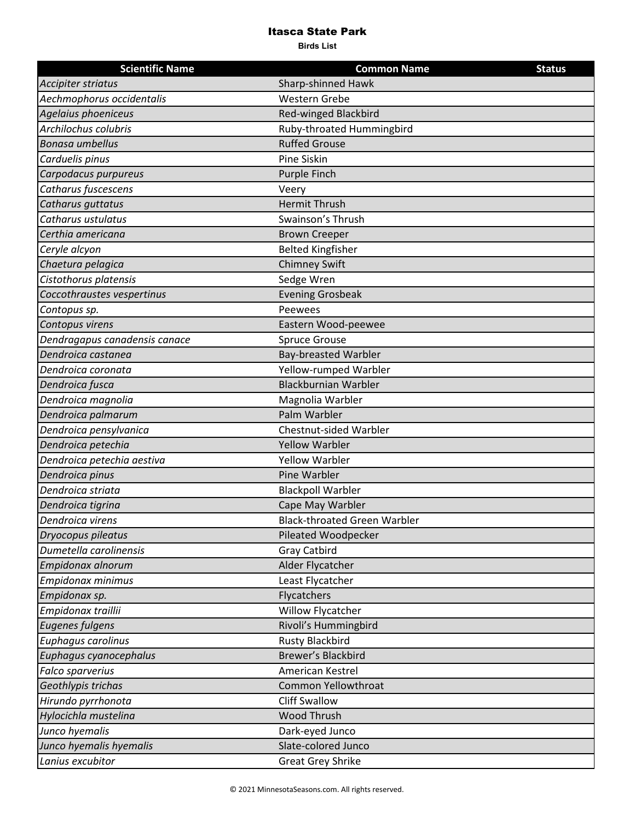## Itasca State Park

**Birds List**

| <b>Scientific Name</b>        | <b>Common Name</b>                  | <b>Status</b> |
|-------------------------------|-------------------------------------|---------------|
| Accipiter striatus            | Sharp-shinned Hawk                  |               |
| Aechmophorus occidentalis     | <b>Western Grebe</b>                |               |
| Agelaius phoeniceus           | <b>Red-winged Blackbird</b>         |               |
| Archilochus colubris          | Ruby-throated Hummingbird           |               |
| <b>Bonasa umbellus</b>        | <b>Ruffed Grouse</b>                |               |
| Carduelis pinus               | <b>Pine Siskin</b>                  |               |
| Carpodacus purpureus          | <b>Purple Finch</b>                 |               |
| Catharus fuscescens           | Veery                               |               |
| Catharus guttatus             | <b>Hermit Thrush</b>                |               |
| Catharus ustulatus            | Swainson's Thrush                   |               |
| Certhia americana             | <b>Brown Creeper</b>                |               |
| Ceryle alcyon                 | <b>Belted Kingfisher</b>            |               |
| Chaetura pelagica             | <b>Chimney Swift</b>                |               |
| Cistothorus platensis         | Sedge Wren                          |               |
| Coccothraustes vespertinus    | <b>Evening Grosbeak</b>             |               |
| Contopus sp.                  | Peewees                             |               |
| Contopus virens               | Eastern Wood-peewee                 |               |
| Dendragapus canadensis canace | <b>Spruce Grouse</b>                |               |
| Dendroica castanea            | <b>Bay-breasted Warbler</b>         |               |
| Dendroica coronata            | Yellow-rumped Warbler               |               |
| Dendroica fusca               | <b>Blackburnian Warbler</b>         |               |
| Dendroica magnolia            | Magnolia Warbler                    |               |
| Dendroica palmarum            | Palm Warbler                        |               |
| Dendroica pensylvanica        | <b>Chestnut-sided Warbler</b>       |               |
| Dendroica petechia            | <b>Yellow Warbler</b>               |               |
| Dendroica petechia aestiva    | <b>Yellow Warbler</b>               |               |
| Dendroica pinus               | Pine Warbler                        |               |
| Dendroica striata             | <b>Blackpoll Warbler</b>            |               |
| Dendroica tigrina             | Cape May Warbler                    |               |
| Dendroica virens              | <b>Black-throated Green Warbler</b> |               |
| Dryocopus pileatus            | Pileated Woodpecker                 |               |
| Dumetella carolinensis        | <b>Gray Catbird</b>                 |               |
| Empidonax alnorum             | Alder Flycatcher                    |               |
| Empidonax minimus             | Least Flycatcher                    |               |
| Empidonax sp.                 | Flycatchers                         |               |
| Empidonax traillii            | <b>Willow Flycatcher</b>            |               |
| <b>Eugenes fulgens</b>        | Rivoli's Hummingbird                |               |
| Euphagus carolinus            | <b>Rusty Blackbird</b>              |               |
| Euphagus cyanocephalus        | <b>Brewer's Blackbird</b>           |               |
| Falco sparverius              | American Kestrel                    |               |
| Geothlypis trichas            | Common Yellowthroat                 |               |
| Hirundo pyrrhonota            | <b>Cliff Swallow</b>                |               |
| Hylocichla mustelina          | Wood Thrush                         |               |
| Junco hyemalis                | Dark-eyed Junco                     |               |
| Junco hyemalis hyemalis       | Slate-colored Junco                 |               |
| Lanius excubitor              | <b>Great Grey Shrike</b>            |               |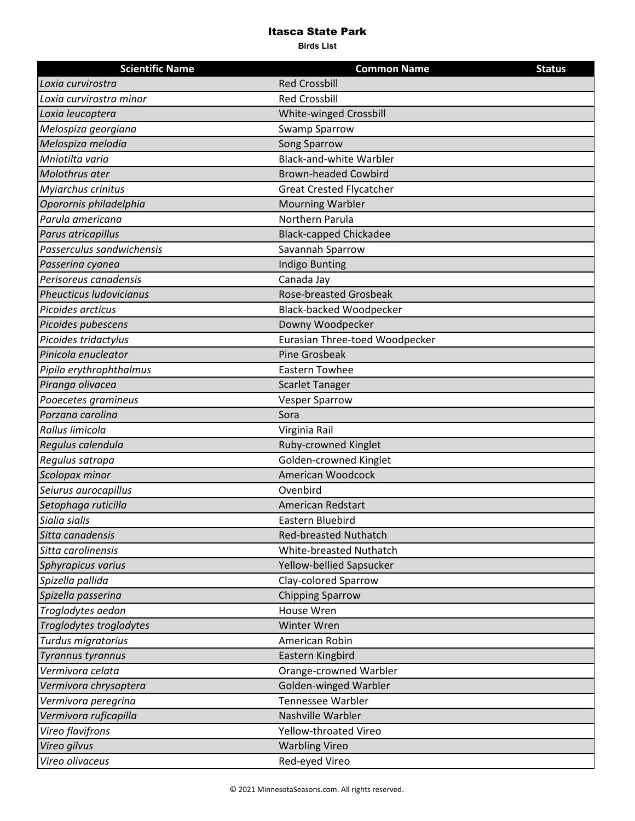## Itasca State Park

**Birds List**

| <b>Scientific Name</b>         | <b>Common Name</b>              | <b>Status</b> |
|--------------------------------|---------------------------------|---------------|
| Loxia curvirostra              | <b>Red Crossbill</b>            |               |
| Loxia curvirostra minor        | <b>Red Crossbill</b>            |               |
| Loxia leucoptera               | White-winged Crossbill          |               |
| Melospiza georgiana            | <b>Swamp Sparrow</b>            |               |
| Melospiza melodia              | Song Sparrow                    |               |
| Mniotilta varia                | <b>Black-and-white Warbler</b>  |               |
| Molothrus ater                 | <b>Brown-headed Cowbird</b>     |               |
| Myiarchus crinitus             | <b>Great Crested Flycatcher</b> |               |
| Oporornis philadelphia         | <b>Mourning Warbler</b>         |               |
| Parula americana               | Northern Parula                 |               |
| Parus atricapillus             | <b>Black-capped Chickadee</b>   |               |
| Passerculus sandwichensis      | Savannah Sparrow                |               |
| Passerina cyanea               | <b>Indigo Bunting</b>           |               |
| Perisoreus canadensis          | Canada Jay                      |               |
| <b>Pheucticus Iudovicianus</b> | <b>Rose-breasted Grosbeak</b>   |               |
| Picoides arcticus              | <b>Black-backed Woodpecker</b>  |               |
| Picoides pubescens             | Downy Woodpecker                |               |
| Picoides tridactylus           | Eurasian Three-toed Woodpecker  |               |
| Pinicola enucleator            | <b>Pine Grosbeak</b>            |               |
| Pipilo erythrophthalmus        | <b>Eastern Towhee</b>           |               |
| Piranga olivacea               | <b>Scarlet Tanager</b>          |               |
| Pooecetes gramineus            | <b>Vesper Sparrow</b>           |               |
| Porzana carolina               | Sora                            |               |
| Rallus limicola                | Virginia Rail                   |               |
| Regulus calendula              | Ruby-crowned Kinglet            |               |
| Regulus satrapa                | Golden-crowned Kinglet          |               |
| Scolopax minor                 | American Woodcock               |               |
| Seiurus aurocapillus           | Ovenbird                        |               |
| Setophaga ruticilla            | American Redstart               |               |
| Sialia sialis                  | Eastern Bluebird                |               |
| Sitta canadensis               | <b>Red-breasted Nuthatch</b>    |               |
| Sitta carolinensis             | White-breasted Nuthatch         |               |
| Sphyrapicus varius             | Yellow-bellied Sapsucker        |               |
| Spizella pallida               | Clay-colored Sparrow            |               |
| Spizella passerina             | <b>Chipping Sparrow</b>         |               |
| Troglodytes aedon              | House Wren                      |               |
| Troglodytes troglodytes        | Winter Wren                     |               |
| Turdus migratorius             | American Robin                  |               |
| Tyrannus tyrannus              | Eastern Kingbird                |               |
| Vermivora celata               | Orange-crowned Warbler          |               |
| Vermivora chrysoptera          | Golden-winged Warbler           |               |
| Vermivora peregrina            | Tennessee Warbler               |               |
| Vermivora ruficapilla          | Nashville Warbler               |               |
| Vireo flavifrons               | Yellow-throated Vireo           |               |
| Vireo gilvus                   | <b>Warbling Vireo</b>           |               |
| Vireo olivaceus                | Red-eyed Vireo                  |               |